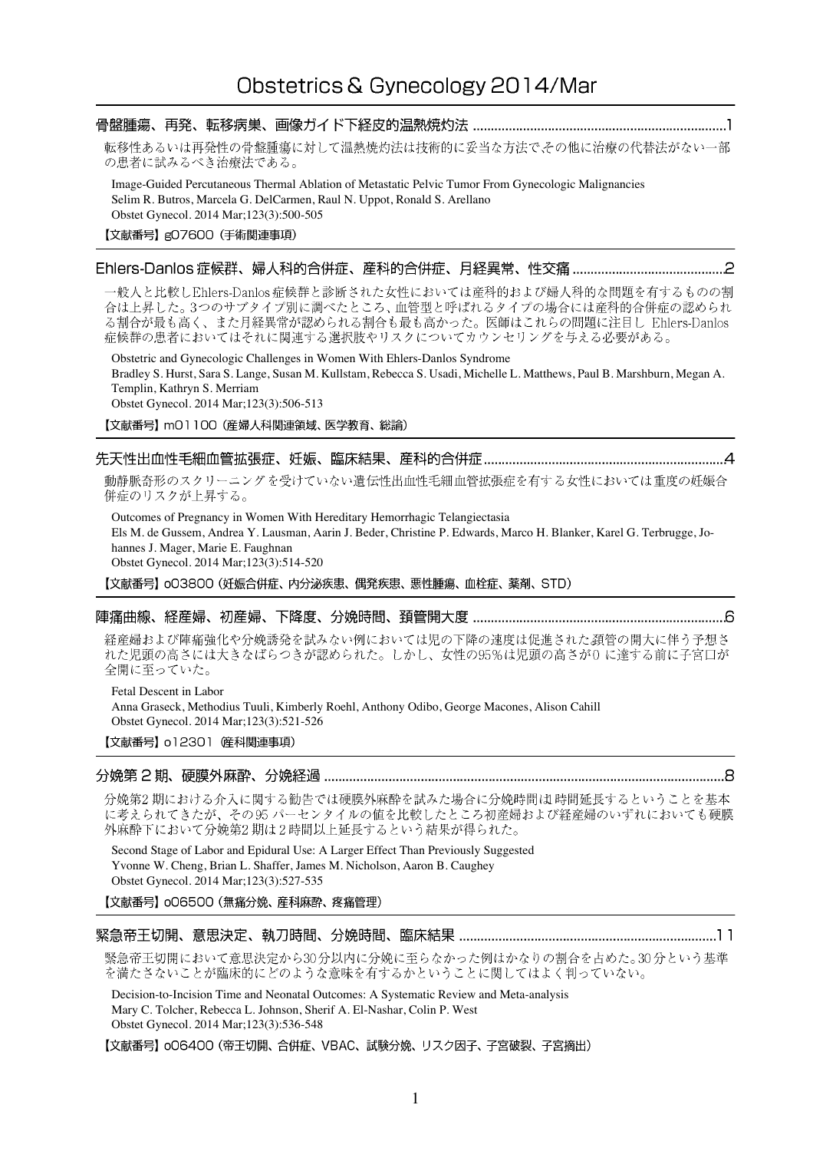## 転移性あるいは再発性の骨盤腫瘍に対して温熱焼灼法は技術的に妥当な方法でその他に治療の代替法がない一部 の患者に試みるべき治療法である。 Image-Guided Percutaneous Thermal Ablation of Metastatic Pelvic Tumor From Gynecologic Malignancies Selim R. Butros, Marcela G. DelCarmen, Raul N. Uppot, Ronald S. Arellano Obstet Gynecol. 2014 Mar;123(3):500-505

【文献番号】g07600 (手術関連事項)

## 

一般人と比較しEhlers-Danlos症候群と診断された女性においては産科的および婦人科的な問題を有するものの割 合は上昇した。3つのサブタイプ別に調べたところ、血管型と呼ばれるタイプの場合には産科的合併症の認められ .<br>る割合が最も高く、また月経異常が認められる割合も最も高かった。医師はこれらの問題に注目し Ehlers-Danlos 症候群の患者においてはそれに関連する選択肢やリスクについてカウンセリングを与える必要がある。

Obstetric and Gynecologic Challenges in Women With Ehlers-Danlos Syndrome Bradley S. Hurst, Sara S. Lange, Susan M. Kullstam, Rebecca S. Usadi, Michelle L. Matthews, Paul B. Marshburn, Megan A. Templin, Kathryn S. Merriam Obstet Gynecol. 2014 Mar;123(3):506-513

【文献番号】mO1100 (産婦人科関連領域、医学教育、総論)

動静脈奇形のスクリーニングを受けていない遺伝性出血性毛細血管拡張症を有する女性においては重度の妊娠合 併症のリスクが上昇する。

Outcomes of Pregnancy in Women With Hereditary Hemorrhagic Telangiectasia Els M. de Gussem, Andrea Y. Lausman, Aarin J. Beder, Christine P. Edwards, Marco H. Blanker, Karel G. Terbrugge, Johannes J. Mager, Marie E. Faughnan Obstet Gynecol. 2014 Mar;123(3):514-520

【文献番号】oO3800 (妊娠合併症、内分泌疾患、偶発疾患、悪性腫瘍、血栓症、薬剤、STD)

### 

経産婦および陣痛強化や分娩誘発を試みない例においては児の下降の速度は促進された頚管の開大に伴う予想さ れた児頭の高さには大きなばらつきが認められた。しかし、女性の95%は児頭の高さが0に達する前に子宮口が 全開に至っていた。

Fetal Descent in Labor Anna Graseck, Methodius Tuuli, Kimberly Roehl, Anthony Odibo, George Macones, Alison Cahill Obstet Gynecol. 2014 Mar;123(3):521-526

【文献番号】 o12301 碎科関連事項)

## 

分娩第2期における介入に関する勧告では硬膜外麻酔を試みた場合に分娩時間は時間延長するということを基本 に考えられてきたが、その95 パーセンタイルの値を比較したところ初産婦および経産婦のいずれにおいても硬膜 外麻酔下において分娩第2期は2時間以上延長するという結果が得られた。

Second Stage of Labor and Epidural Use: A Larger Effect Than Previously Suggested Yvonne W. Cheng, Brian L. Shaffer, James M. Nicholson, Aaron B. Caughey Obstet Gynecol. 2014 Mar;123(3):527-535

### 【文献番号】 006500 (無痛分娩、 産科麻酔、 疼痛管理)

緊急帝王切開において意思決定から30分以内に分娩に至らなかった例はかなりの割合を占めた。30分という基準 を満たさないことが臨床的にどのような意味を有するかということに関してはよく判っていない。

Decision-to-Incision Time and Neonatal Outcomes: A Systematic Review and Meta-analysis Mary C. Tolcher, Rebecca L. Johnson, Sherif A. El-Nashar, Colin P. West Obstet Gynecol. 2014 Mar;123(3):536-548

【文献番号】 oO6400 (帝王切開、合併症、VBAC、試験分娩、リスク因子、子宮破裂、子宮摘出)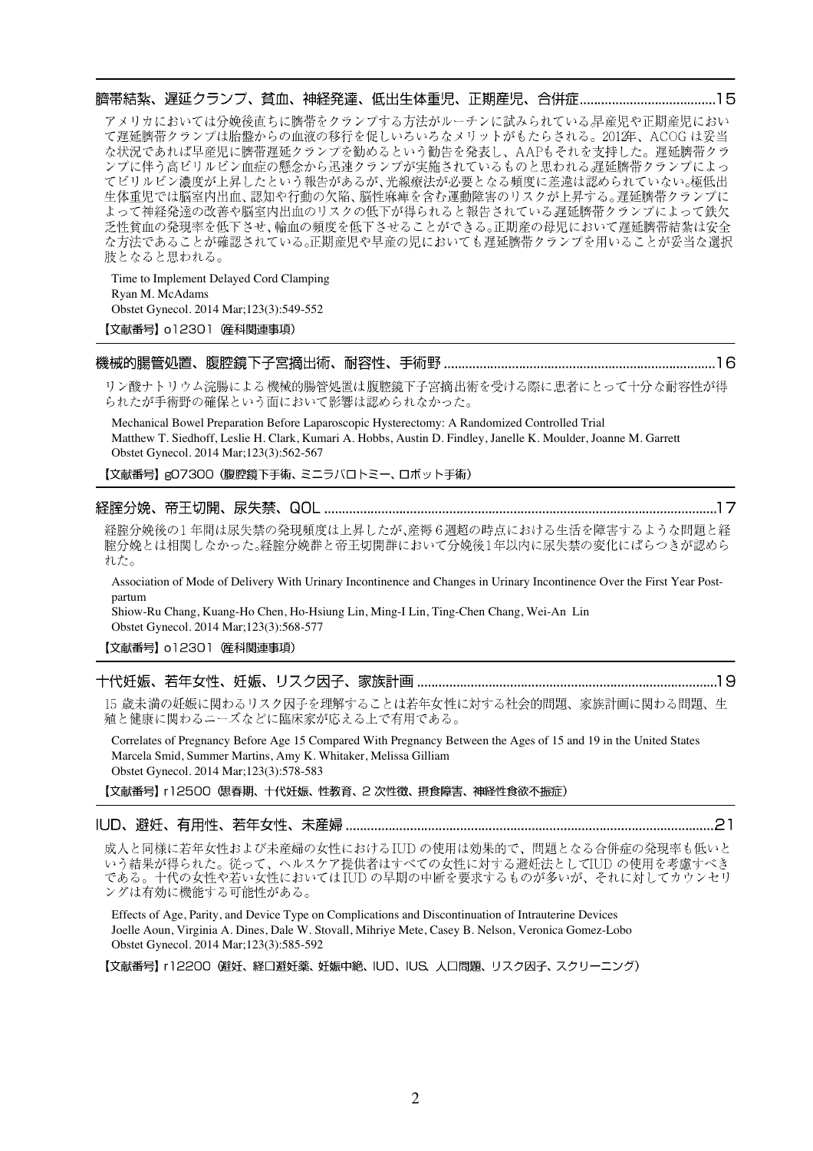アメリカにおいては分娩後直ちに臍帯をクランプする方法がルーチンに試みられている早産児や正期産児におい て遅延臍帯クランプは胎盤からの血液の移行を促しいろいろなメリットがもたらされる。2012年、ACOGは妥当

な状況であれば早産児に臍帯遅延クランプを勧めるという勧告を発表し、AAPもそれを支持した。遅延臍帯クラ ンプに伴う高ビリルビン血症の懸念から迅速クランプが実施されているものと思われる遅延臍帯クランプによっ てビリルビン濃度が上昇したという報告があるが、光線療法が必要となる頻度に差違は認められていない。極低出 生体重児では脳室内出血、認知や行動の欠陥、脳性麻痺を含む運動障害のリスクが上昇する。遅延臍帯クランプに よって神経発達の改善や脳室内出血のリスクの低下が得られると報告されている遅延臍帯クランプによって鉄欠 乏性貧血の発現率を低下させ、輸血の頻度を低下させることができる。正期産の母児において遅延臍帯結紮は安全 な方法であることが確認されている。正期産児や早産の児においても遅延臍帯クランプを用いることが妥当な選択 肢となると思われる。

Time to Implement Delayed Cord Clamping Ryan M. McAdams Obstet Gynecol. 2014 Mar;123(3):549-552 【文献番号】 o12301 産科関連事項)

### 

リン酸ナトリウム浣腸による機械的腸管処置は腹腔鏡下子宮摘出術を受ける際に患者にとって十分な耐容性が得 られたが手術野の確保という面において影響は認められなかった。

Mechanical Bowel Preparation Before Laparoscopic Hysterectomy: A Randomized Controlled Trial Matthew T. Siedhoff, Leslie H. Clark, Kumari A. Hobbs, Austin D. Findley, Janelle K. Moulder, Joanne M. Garrett Obstet Gynecol. 2014 Mar;123(3):562-567

【文献番号】gO7300 (腹腔鏡下手術、ミニラパロトミー、ロボット手術)

### 

経腟分娩後の1年間は尿失禁の発現頻度は上昇したが、産褥6週超の時点における生活を障害するような問題と経 腟分娩とは相関しなかった。経腟分娩群と帝王切開群において分娩後1年以内に尿失禁の変化にばらつきが認めら れた。

Association of Mode of Delivery With Urinary Incontinence and Changes in Urinary Incontinence Over the First Year Postpartum

Shiow-Ru Chang, Kuang-Ho Chen, Ho-Hsiung Lin, Ming-I Lin, Ting-Chen Chang, Wei-An Lin Obstet Gynecol. 2014 Mar;123(3):568-577

## 

15 歳未満の妊娠に関わるリスク因子を理解することは若年女性に対する社会的問題、家族計画に関わる問題、生 殖と健康に関わるニーズなどに臨床家が応える上で有用である。

Correlates of Pregnancy Before Age 15 Compared With Pregnancy Between the Ages of 15 and 19 in the United States Marcela Smid, Summer Martins, Amy K. Whitaker, Melissa Gilliam Obstet Gynecol. 2014 Mar;123(3):578-583

【文献番号】 r12500 (思春期、十代妊娠、性教育、2 次性徴、摂食障害、神経性食欲不振症)

### 

成人と同様に若年女性および未産婦の女性におけるIUD の使用は効果的で、問題となる合併症の発現率も低いと いう結果が得られた。従って、ヘルスケア提供者はすべての女性に対する避妊法としてIUDの使用を考慮すべき である。十代の女性や若い女性においては IUD の早期の中断を要求するものが多いが、それに対してカウンセリ ングは有効に機能する可能性がある。

Effects of Age, Parity, and Device Type on Complications and Discontinuation of Intrauterine Devices Joelle Aoun, Virginia A. Dines, Dale W. Stovall, Mihriye Mete, Casey B. Nelson, Veronica Gomez-Lobo Obstet Gynecol. 2014 Mar;123(3):585-592

【文献番号】 r12200 (避妊、経口避妊薬、妊娠中絶、IUD、IUS、人口問題、リスク因子、スクリーニング)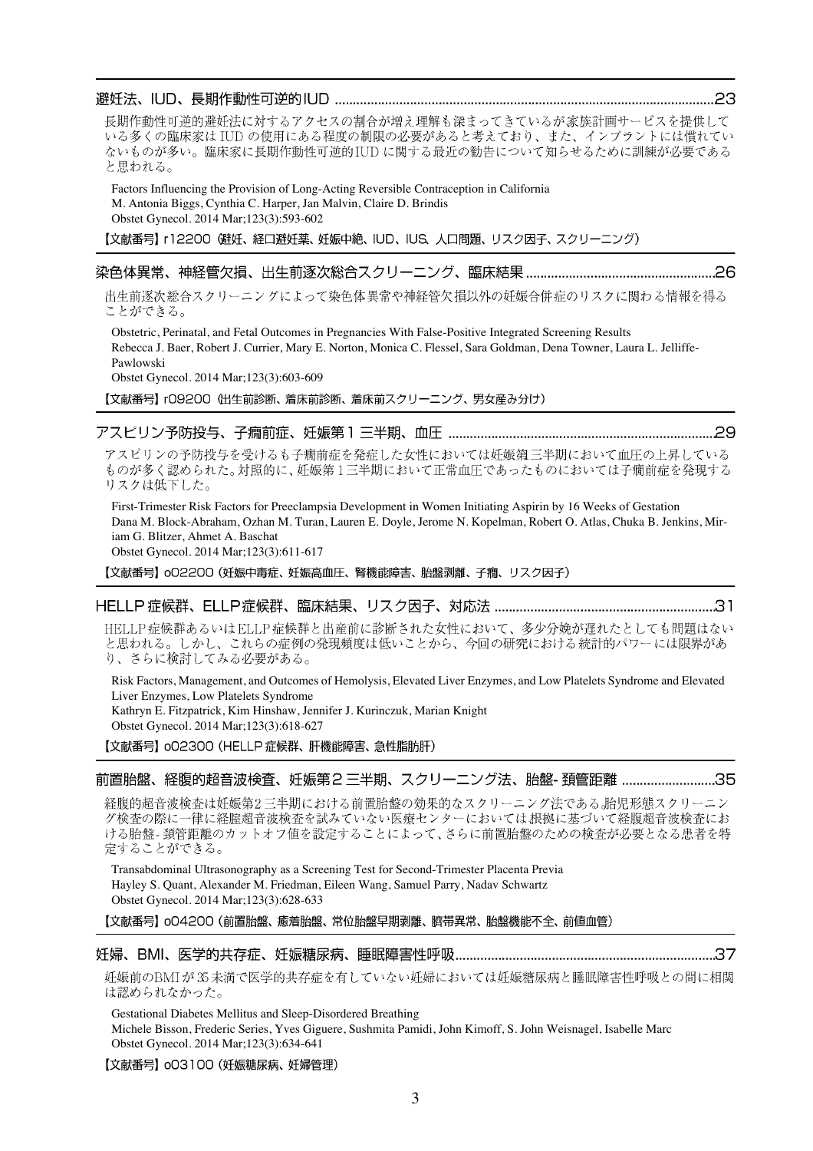Kathryn E. Fitzpatrick, Kim Hinshaw, Jennifer J. Kurinczuk, Marian Knight

【文献番号】 002300 (HELLP 症候群、肝機能障害、急性脂肪肝)

前置胎盤、経腹的超音波検査、妊娠第2 三半期、スクリーニング法、胎盤- 頚管距離 ...........................35

経腹的超音波検査は妊娠第2 三半期における前置胎盤の効果的なスクリーニング法である。胎児形態スクリーニン グ検査の際に一律に経腟超音波検査を試みていない医療センターにおいては根拠に基づいて経腹超音波検査にお ける胎盤-頚管距離のカットオフ値を設定することによって、さらに前置胎盤のための検査が必要となる患者を特 定することができる。

Transabdominal Ultrasonography as a Screening Test for Second-Trimester Placenta Previa Hayley S. Quant, Alexander M. Friedman, Eileen Wang, Samuel Parry, Nadav Schwartz Obstet Gynecol. 2014 Mar;123(3):628-633

【文献番号】oO4200 (前置胎盤、癒着胎盤、常位胎盤早期剥離、臍帯異常、胎盤機能不全、前値血管)

### 

妊娠前のBMIが35未満で医学的共存症を有していない妊婦においては妊娠糖尿病と睡眠障害性呼吸との間に相関 は認められなかった。

Gestational Diabetes Mellitus and Sleep-Disordered Breathing

Michele Bisson, Frederic Series, Yves Giguere, Sushmita Pamidi, John Kimoff, S. John Weisnagel, Isabelle Marc Obstet Gynecol. 2014 Mar;123(3):634-641

【文献番号】 oO3100 (妊娠糖尿病、妊婦管理)

### 

長期作動性可逆的避妊法に対するアクセスの割合が増え理解も深まってきているが家族計画サービスを提供して いる多くの臨床家は IUD の使用にある程度の制限の必要があると考えており、また、インプラントには慣れてい ないものが多い。臨床家に長期作動性可逆的IUDに関する最近の勧告について知らせるために訓練が必要である と思われる。

Factors Influencing the Provision of Long-Acting Reversible Contraception in California M. Antonia Biggs, Cynthia C. Harper, Jan Malvin, Claire D. Brindis Obstet Gynecol. 2014 Mar;123(3):593-602

【文献番号】 r12200 (避妊、経口避妊薬、妊娠中絶、IUD、IUS、人口問題、リスク因子、スクリーニング)

### 

出生前逐次総合スクリーニングによって染色体異常や神経管欠損以外の妊娠合併症のリスクに関わる情報を得る ことができる。

Obstetric, Perinatal, and Fetal Outcomes in Pregnancies With False-Positive Integrated Screening Results Rebecca J. Baer, Robert J. Currier, Mary E. Norton, Monica C. Flessel, Sara Goldman, Dena Towner, Laura L. Jelliffe-Pawlowski

Obstet Gynecol. 2014 Mar;123(3):603-609

【文献番号】 rO9200 (出生前診断、着床前診断、着床前スクリーニング、男女産み分け)

## 

アスピリンの予防投与を受けるも子癇前症を発症した女性においては妊娠第三半期において血圧の上昇している ものが多く認められた。対照的に、妊娠第1三半期において正常血圧であったものにおいては子癇前症を発現する リスクは低下した。

First-Trimester Risk Factors for Preeclampsia Development in Women Initiating Aspirin by 16 Weeks of Gestation Dana M. Block-Abraham, Ozhan M. Turan, Lauren E. Doyle, Jerome N. Kopelman, Robert O. Atlas, Chuka B. Jenkins, Miriam G. Blitzer, Ahmet A. Baschat Obstet Gynecol. 2014 Mar;123(3):611-617

【文献番号】 oO2200 (妊娠中毒症、妊娠高血圧、腎機能障害、胎盤剥離、子癇、リスク因子)

# 

HELLP症候群あるいはELLP症候群と出産前に診断された女性において、多少分娩が遅れたとしても問題はない と思われる。しかし、これらの症例の発現頻度は低いことから、今回の研究における統計的パワーには限界があ り、さらに検討してみる必要がある。

Risk Factors, Management, and Outcomes of Hemolysis, Elevated Liver Enzymes, and Low Platelets Syndrome and Elevated Liver Enzymes, Low Platelets Syndrome

Obstet Gynecol. 2014 Mar;123(3):618-627